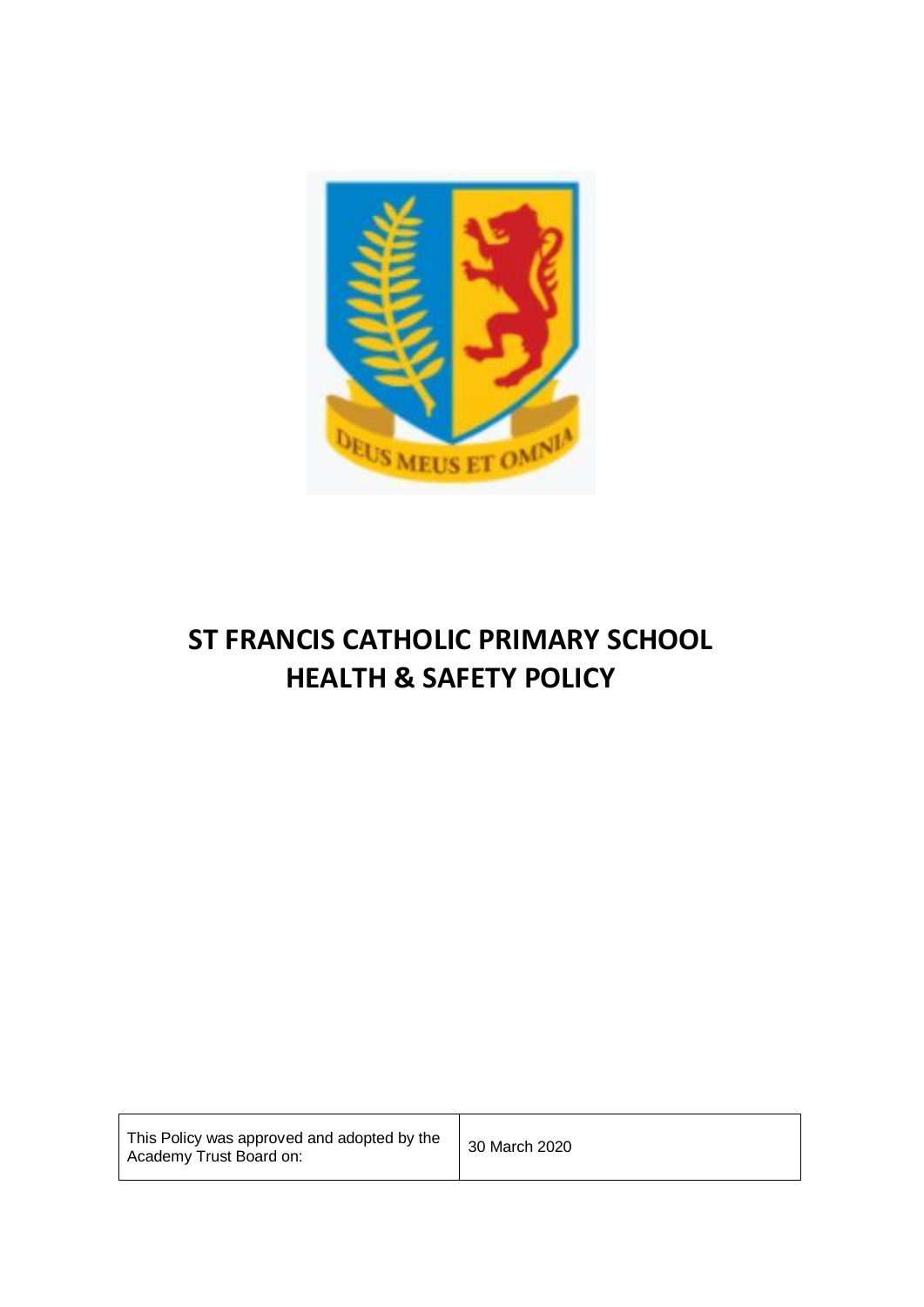

# **ST FRANCIS CATHOLIC PRIMARY SCHOOL HEALTH & SAFETY POLICY**

| This Policy was approved and adopted by the<br>Academy Trust Board on: | 30 March 2020 |
|------------------------------------------------------------------------|---------------|
|------------------------------------------------------------------------|---------------|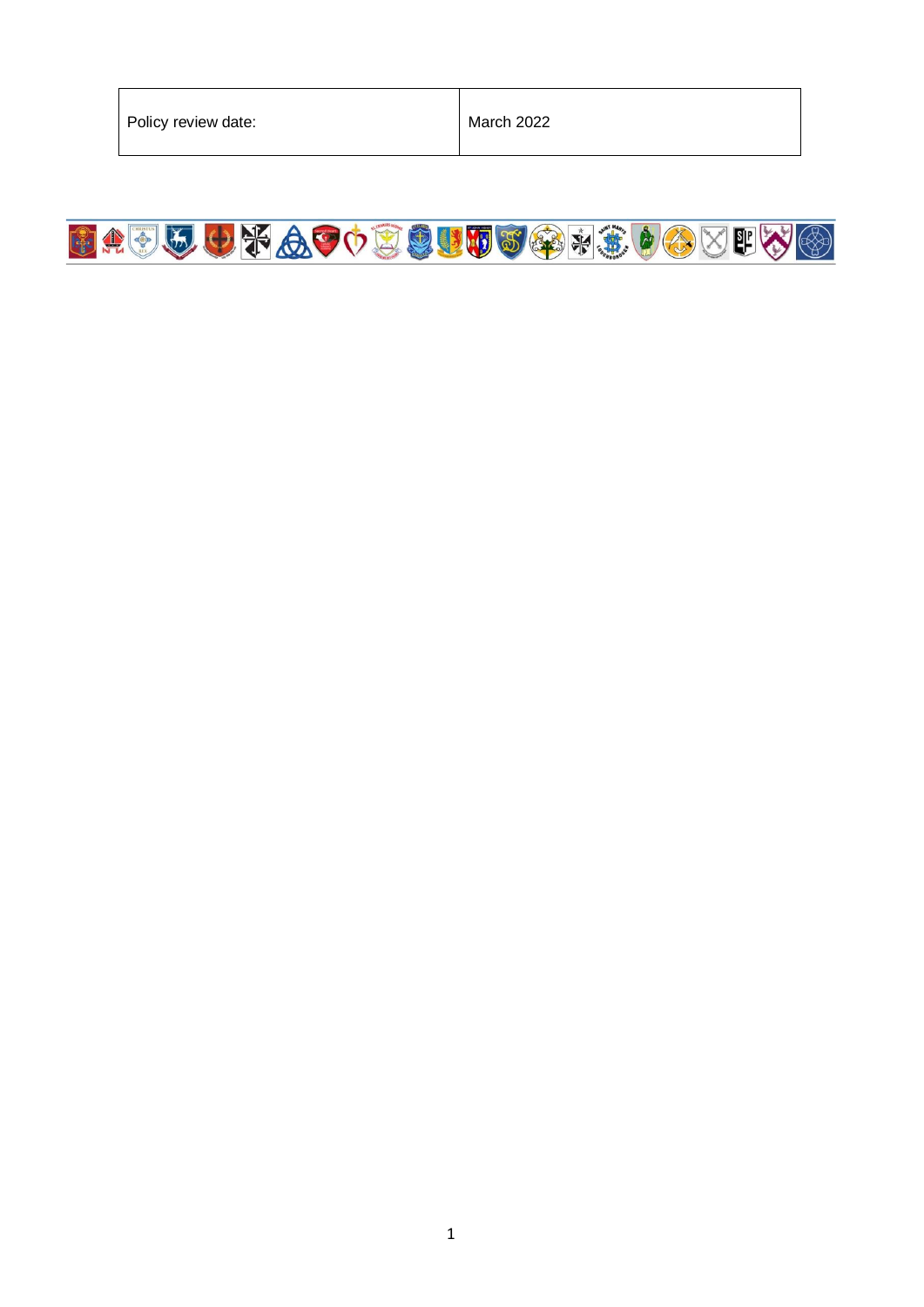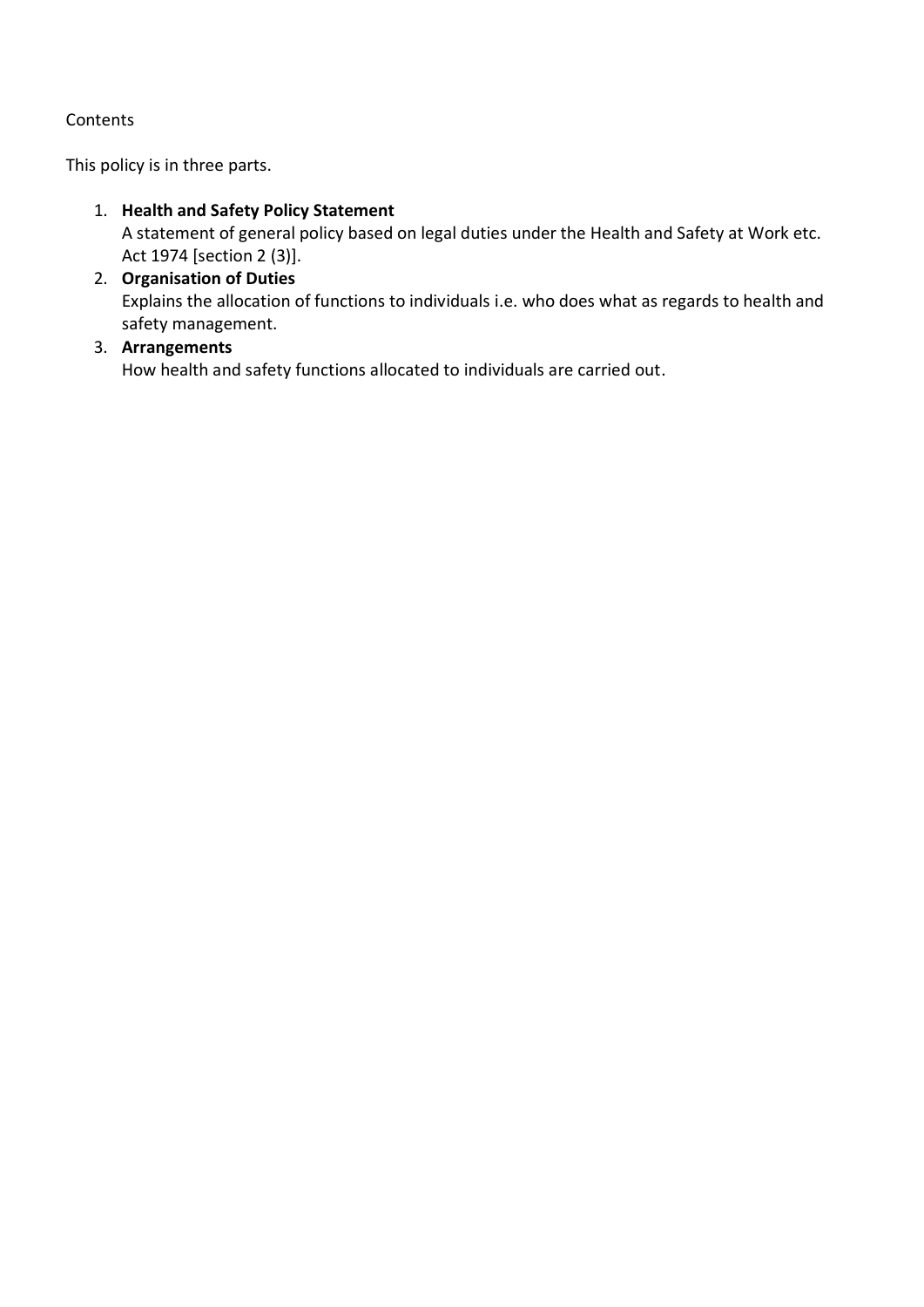## **Contents**

This policy is in three parts.

- 1. **Health and Safety Policy Statement** A statement of general policy based on legal duties under the Health and Safety at Work etc. Act 1974 [section 2 (3)].
- 2. **Organisation of Duties** Explains the allocation of functions to individuals i.e. who does what as regards to health and safety management.
- 3. **Arrangements** How health and safety functions allocated to individuals are carried out.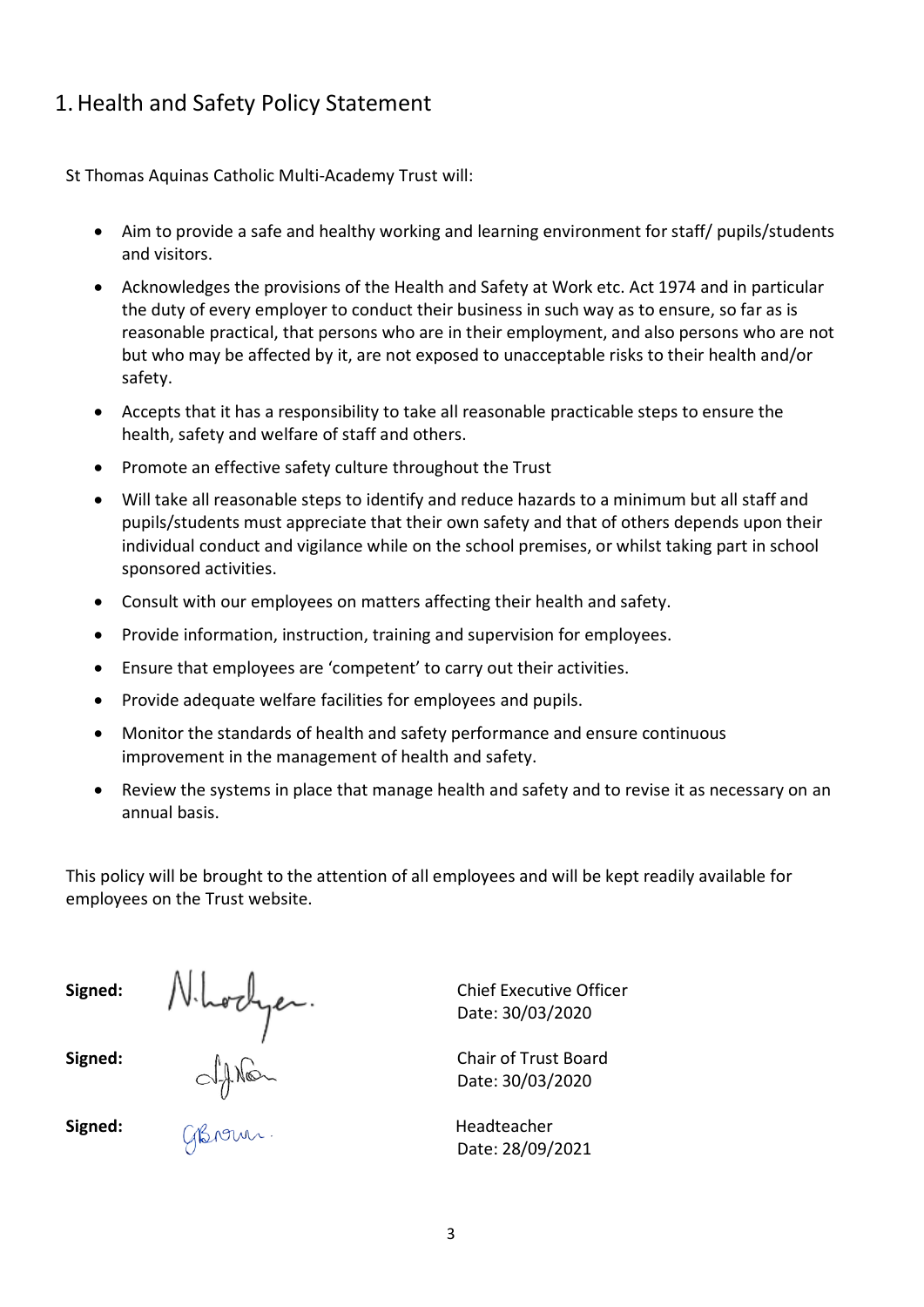# 1.Health and Safety Policy Statement

St Thomas Aquinas Catholic Multi-Academy Trust will:

- Aim to provide a safe and healthy working and learning environment for staff/ pupils/students and visitors.
- Acknowledges the provisions of the Health and Safety at Work etc. Act 1974 and in particular the duty of every employer to conduct their business in such way as to ensure, so far as is reasonable practical, that persons who are in their employment, and also persons who are not but who may be affected by it, are not exposed to unacceptable risks to their health and/or safety.
- Accepts that it has a responsibility to take all reasonable practicable steps to ensure the health, safety and welfare of staff and others.
- Promote an effective safety culture throughout the Trust
- Will take all reasonable steps to identify and reduce hazards to a minimum but all staff and pupils/students must appreciate that their own safety and that of others depends upon their individual conduct and vigilance while on the school premises, or whilst taking part in school sponsored activities.
- Consult with our employees on matters affecting their health and safety.
- Provide information, instruction, training and supervision for employees.
- Ensure that employees are 'competent' to carry out their activities.
- Provide adequate welfare facilities for employees and pupils.
- Monitor the standards of health and safety performance and ensure continuous improvement in the management of health and safety.
- Review the systems in place that manage health and safety and to revise it as necessary on an annual basis.

This policy will be brought to the attention of all employees and will be kept readily available for employees on the Trust website.

**Signed:** Chief Executive Officer **Signed:**  $A_0 \cap$  Chair of Trust Board

Date: 30/03/2020

Date: 30/03/2020

**Signed:** All Angles Controller and the Headteacher Date: 28/09/2021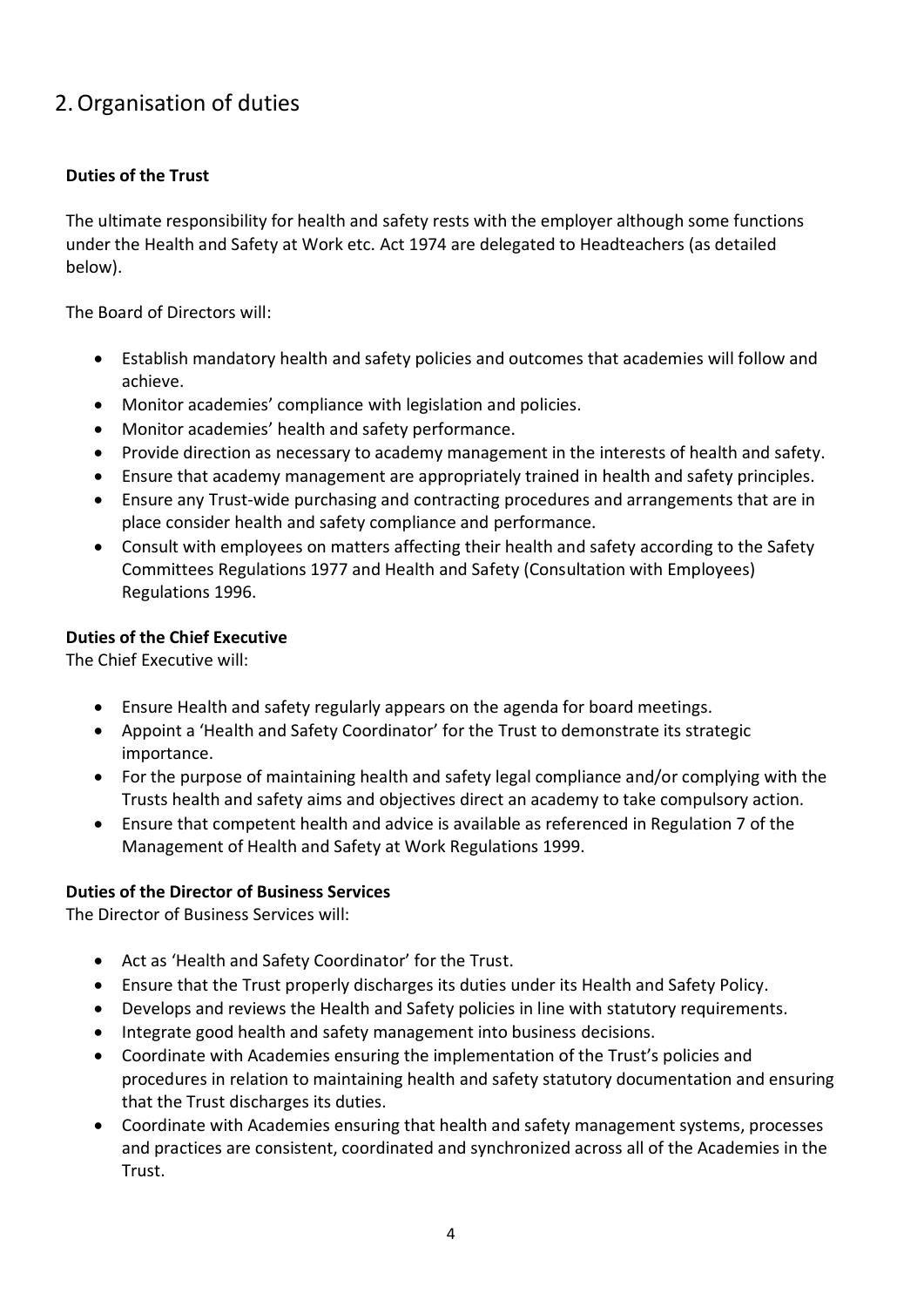# 2.Organisation of duties

## **Duties of the Trust**

The ultimate responsibility for health and safety rests with the employer although some functions under the Health and Safety at Work etc. Act 1974 are delegated to Headteachers (as detailed below).

The Board of Directors will:

- Establish mandatory health and safety policies and outcomes that academies will follow and achieve.
- Monitor academies' compliance with legislation and policies.
- Monitor academies' health and safety performance.
- Provide direction as necessary to academy management in the interests of health and safety.
- Ensure that academy management are appropriately trained in health and safety principles.
- Ensure any Trust-wide purchasing and contracting procedures and arrangements that are in place consider health and safety compliance and performance.
- Consult with employees on matters affecting their health and safety according to the Safety Committees Regulations 1977 and Health and Safety (Consultation with Employees) Regulations 1996.

#### **Duties of the Chief Executive**

The Chief Executive will:

- Ensure Health and safety regularly appears on the agenda for board meetings.
- Appoint a 'Health and Safety Coordinator' for the Trust to demonstrate its strategic importance.
- For the purpose of maintaining health and safety legal compliance and/or complying with the Trusts health and safety aims and objectives direct an academy to take compulsory action.
- Ensure that competent health and advice is available as referenced in Regulation 7 of the Management of Health and Safety at Work Regulations 1999.

#### **Duties of the Director of Business Services**

The Director of Business Services will:

- Act as 'Health and Safety Coordinator' for the Trust.
- Ensure that the Trust properly discharges its duties under its Health and Safety Policy.
- Develops and reviews the Health and Safety policies in line with statutory requirements.
- Integrate good health and safety management into business decisions.
- Coordinate with Academies ensuring the implementation of the Trust's policies and procedures in relation to maintaining health and safety statutory documentation and ensuring that the Trust discharges its duties.
- Coordinate with Academies ensuring that health and safety management systems, processes and practices are consistent, coordinated and synchronized across all of the Academies in the Trust.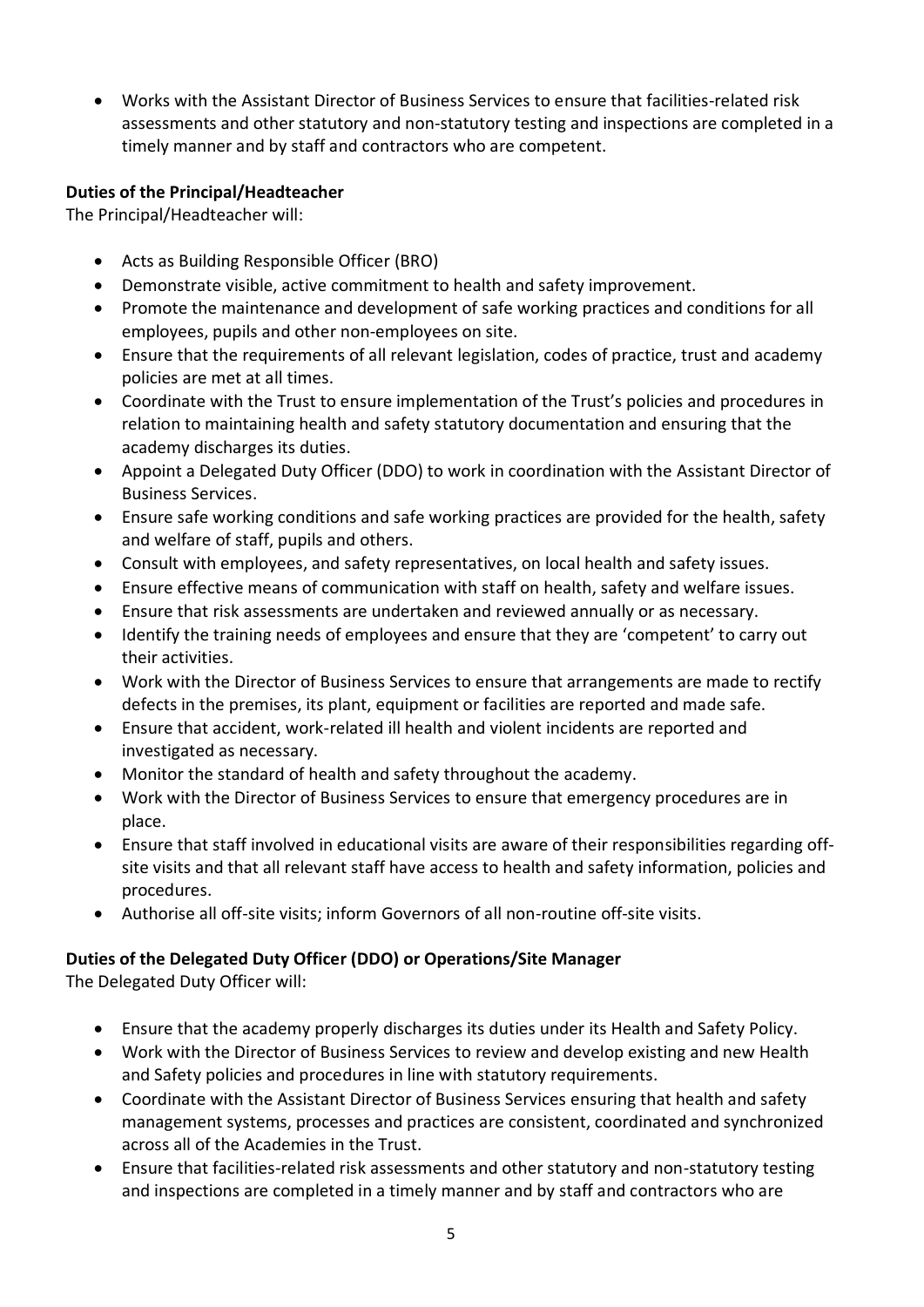• Works with the Assistant Director of Business Services to ensure that facilities-related risk assessments and other statutory and non-statutory testing and inspections are completed in a timely manner and by staff and contractors who are competent.

## **Duties of the Principal/Headteacher**

The Principal/Headteacher will:

- Acts as Building Responsible Officer (BRO)
- Demonstrate visible, active commitment to health and safety improvement.
- Promote the maintenance and development of safe working practices and conditions for all employees, pupils and other non-employees on site.
- Ensure that the requirements of all relevant legislation, codes of practice, trust and academy policies are met at all times.
- Coordinate with the Trust to ensure implementation of the Trust's policies and procedures in relation to maintaining health and safety statutory documentation and ensuring that the academy discharges its duties.
- Appoint a Delegated Duty Officer (DDO) to work in coordination with the Assistant Director of Business Services.
- Ensure safe working conditions and safe working practices are provided for the health, safety and welfare of staff, pupils and others.
- Consult with employees, and safety representatives, on local health and safety issues.
- Ensure effective means of communication with staff on health, safety and welfare issues.
- Ensure that risk assessments are undertaken and reviewed annually or as necessary.
- Identify the training needs of employees and ensure that they are 'competent' to carry out their activities.
- Work with the Director of Business Services to ensure that arrangements are made to rectify defects in the premises, its plant, equipment or facilities are reported and made safe.
- Ensure that accident, work-related ill health and violent incidents are reported and investigated as necessary.
- Monitor the standard of health and safety throughout the academy.
- Work with the Director of Business Services to ensure that emergency procedures are in place.
- Ensure that staff involved in educational visits are aware of their responsibilities regarding offsite visits and that all relevant staff have access to health and safety information, policies and procedures.
- Authorise all off-site visits; inform Governors of all non-routine off-site visits.

# **Duties of the Delegated Duty Officer (DDO) or Operations/Site Manager**

The Delegated Duty Officer will:

- Ensure that the academy properly discharges its duties under its Health and Safety Policy.
- Work with the Director of Business Services to review and develop existing and new Health and Safety policies and procedures in line with statutory requirements.
- Coordinate with the Assistant Director of Business Services ensuring that health and safety management systems, processes and practices are consistent, coordinated and synchronized across all of the Academies in the Trust.
- Ensure that facilities-related risk assessments and other statutory and non-statutory testing and inspections are completed in a timely manner and by staff and contractors who are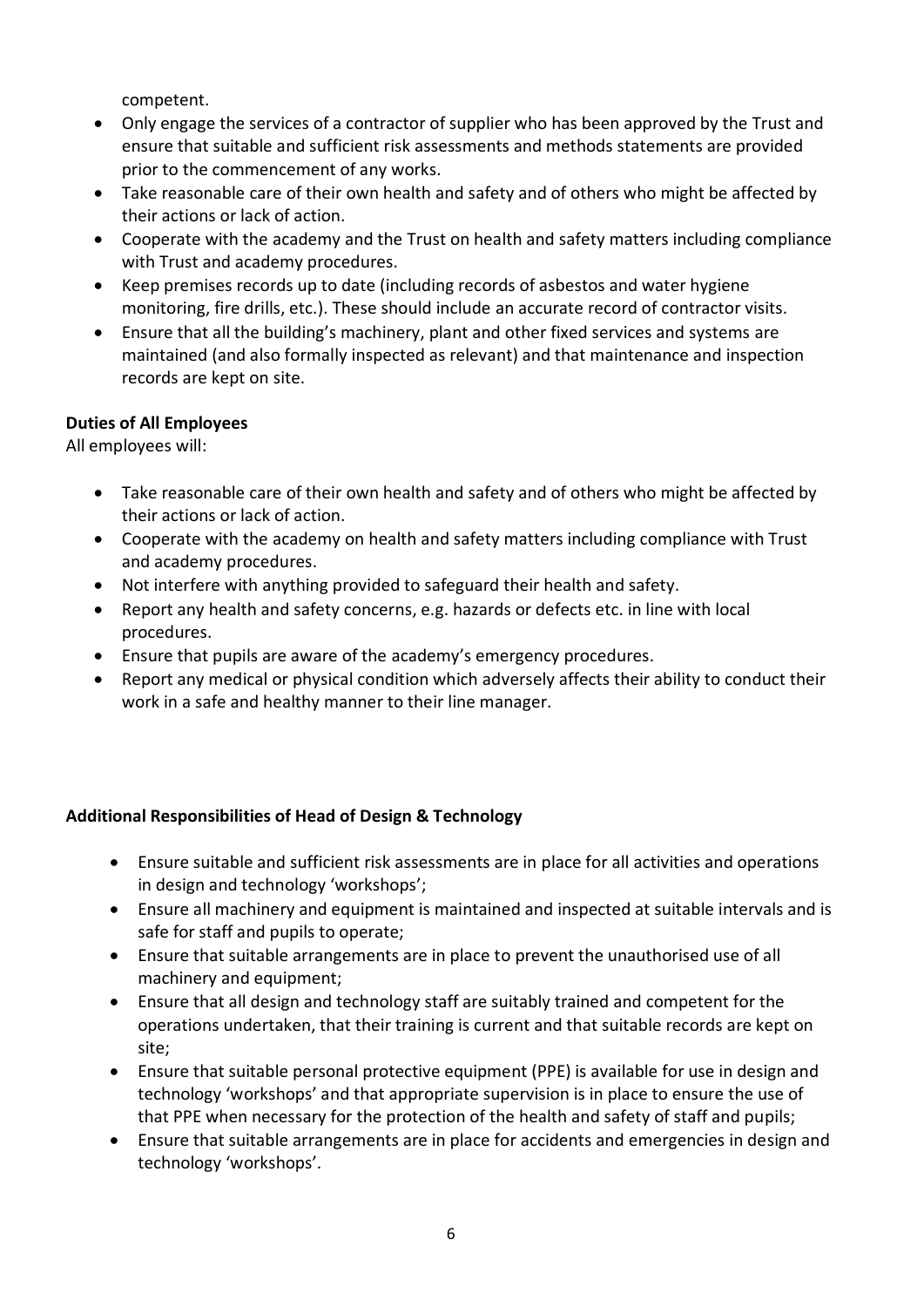competent.

- Only engage the services of a contractor of supplier who has been approved by the Trust and ensure that suitable and sufficient risk assessments and methods statements are provided prior to the commencement of any works.
- Take reasonable care of their own health and safety and of others who might be affected by their actions or lack of action.
- Cooperate with the academy and the Trust on health and safety matters including compliance with Trust and academy procedures.
- Keep premises records up to date (including records of asbestos and water hygiene monitoring, fire drills, etc.). These should include an accurate record of contractor visits.
- Ensure that all the building's machinery, plant and other fixed services and systems are maintained (and also formally inspected as relevant) and that maintenance and inspection records are kept on site.

# **Duties of All Employees**

All employees will:

- Take reasonable care of their own health and safety and of others who might be affected by their actions or lack of action.
- Cooperate with the academy on health and safety matters including compliance with Trust and academy procedures.
- Not interfere with anything provided to safeguard their health and safety.
- Report any health and safety concerns, e.g. hazards or defects etc. in line with local procedures.
- Ensure that pupils are aware of the academy's emergency procedures.
- Report any medical or physical condition which adversely affects their ability to conduct their work in a safe and healthy manner to their line manager.

# **Additional Responsibilities of Head of Design & Technology**

- Ensure suitable and sufficient risk assessments are in place for all activities and operations in design and technology 'workshops';
- Ensure all machinery and equipment is maintained and inspected at suitable intervals and is safe for staff and pupils to operate;
- Ensure that suitable arrangements are in place to prevent the unauthorised use of all machinery and equipment;
- Ensure that all design and technology staff are suitably trained and competent for the operations undertaken, that their training is current and that suitable records are kept on site;
- Ensure that suitable personal protective equipment (PPE) is available for use in design and technology 'workshops' and that appropriate supervision is in place to ensure the use of that PPE when necessary for the protection of the health and safety of staff and pupils;
- Ensure that suitable arrangements are in place for accidents and emergencies in design and technology 'workshops'.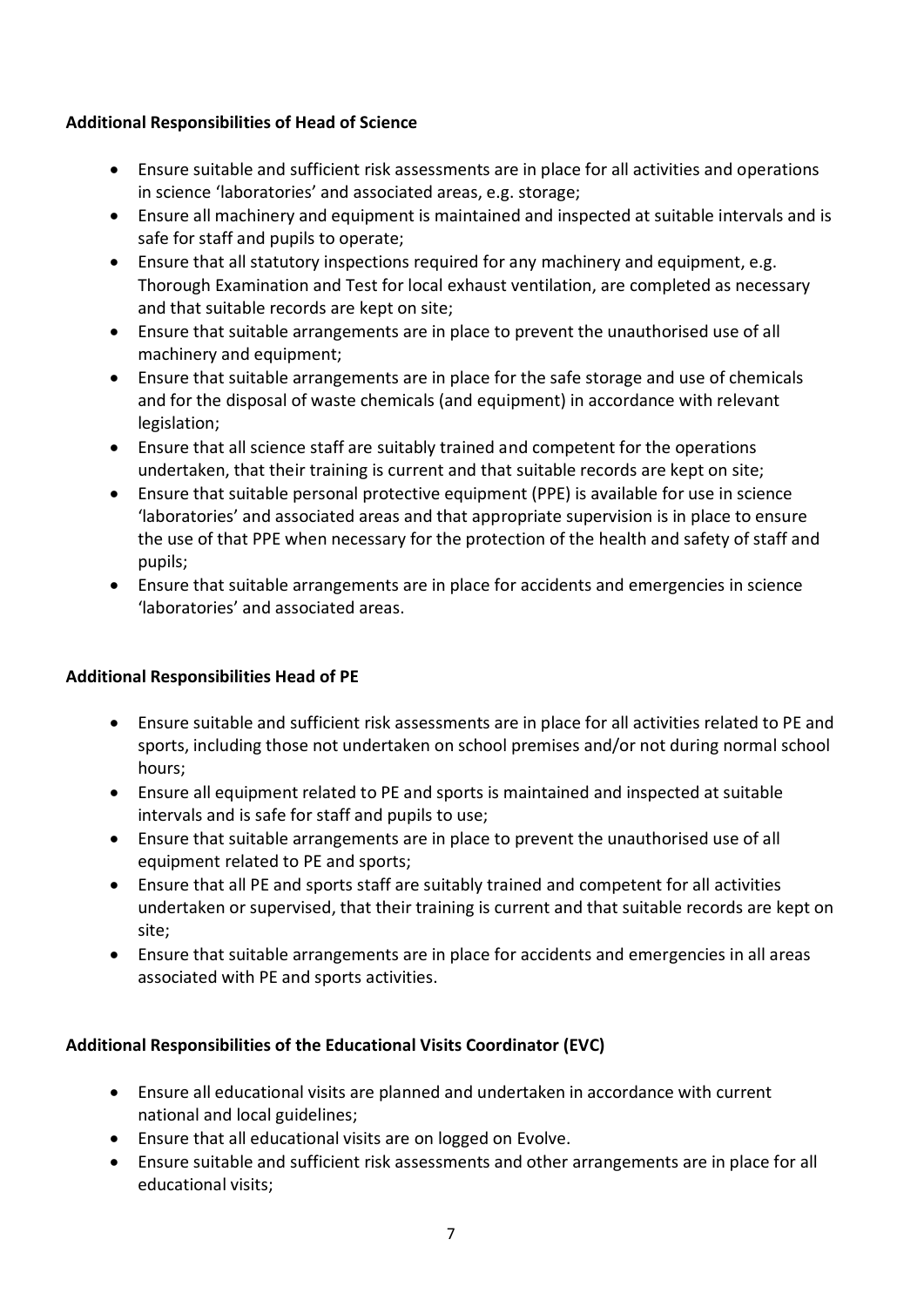#### **Additional Responsibilities of Head of Science**

- Ensure suitable and sufficient risk assessments are in place for all activities and operations in science 'laboratories' and associated areas, e.g. storage;
- Ensure all machinery and equipment is maintained and inspected at suitable intervals and is safe for staff and pupils to operate;
- Ensure that all statutory inspections required for any machinery and equipment, e.g. Thorough Examination and Test for local exhaust ventilation, are completed as necessary and that suitable records are kept on site;
- Ensure that suitable arrangements are in place to prevent the unauthorised use of all machinery and equipment;
- Ensure that suitable arrangements are in place for the safe storage and use of chemicals and for the disposal of waste chemicals (and equipment) in accordance with relevant legislation;
- Ensure that all science staff are suitably trained and competent for the operations undertaken, that their training is current and that suitable records are kept on site;
- Ensure that suitable personal protective equipment (PPE) is available for use in science 'laboratories' and associated areas and that appropriate supervision is in place to ensure the use of that PPE when necessary for the protection of the health and safety of staff and pupils;
- Ensure that suitable arrangements are in place for accidents and emergencies in science 'laboratories' and associated areas.

#### **Additional Responsibilities Head of PE**

- Ensure suitable and sufficient risk assessments are in place for all activities related to PE and sports, including those not undertaken on school premises and/or not during normal school hours;
- Ensure all equipment related to PE and sports is maintained and inspected at suitable intervals and is safe for staff and pupils to use;
- Ensure that suitable arrangements are in place to prevent the unauthorised use of all equipment related to PE and sports;
- Ensure that all PE and sports staff are suitably trained and competent for all activities undertaken or supervised, that their training is current and that suitable records are kept on site;
- Ensure that suitable arrangements are in place for accidents and emergencies in all areas associated with PE and sports activities.

# **Additional Responsibilities of the Educational Visits Coordinator (EVC)**

- Ensure all educational visits are planned and undertaken in accordance with current national and local guidelines;
- Ensure that all educational visits are on logged on Evolve.
- Ensure suitable and sufficient risk assessments and other arrangements are in place for all educational visits;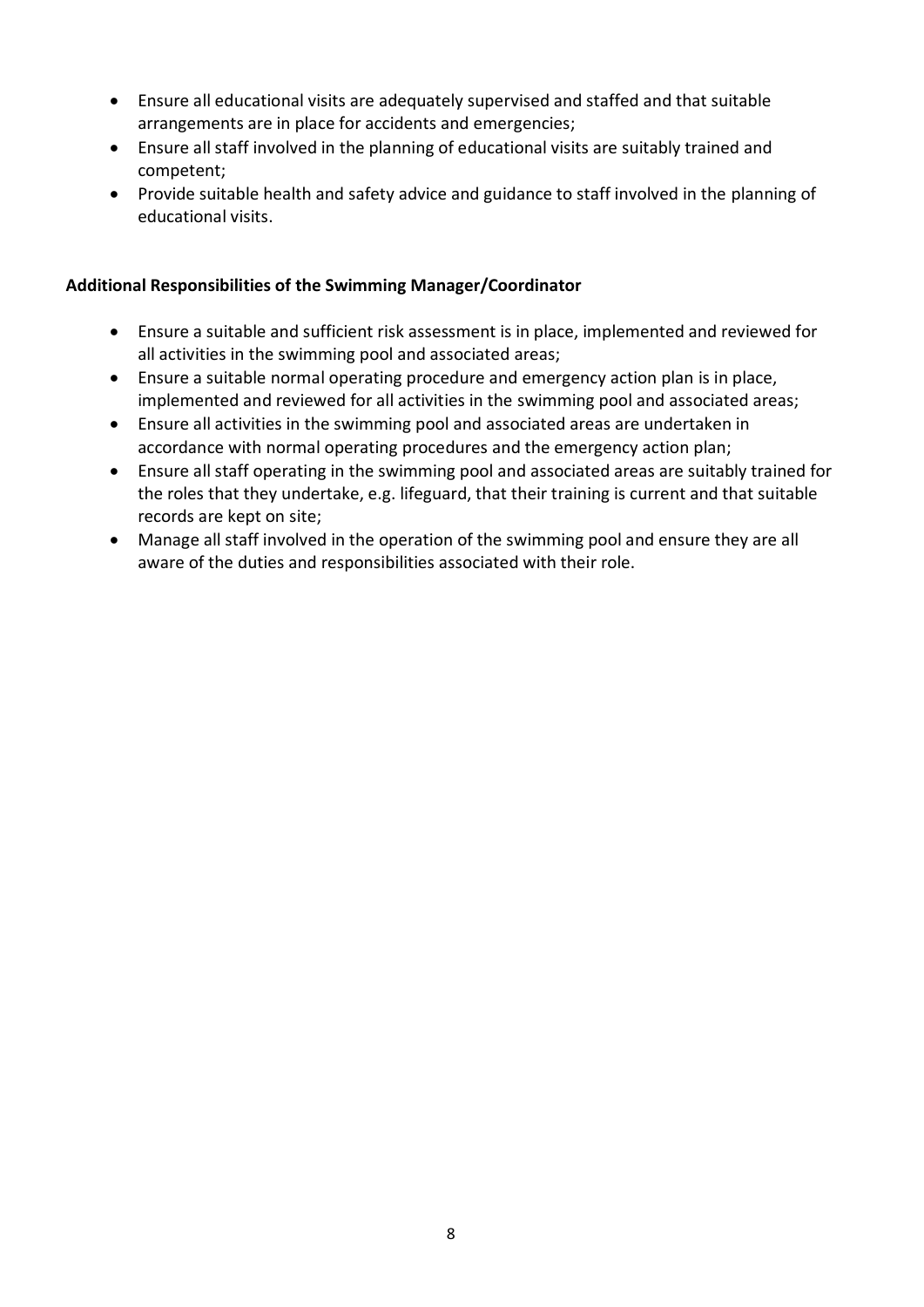- Ensure all educational visits are adequately supervised and staffed and that suitable arrangements are in place for accidents and emergencies;
- Ensure all staff involved in the planning of educational visits are suitably trained and competent;
- Provide suitable health and safety advice and guidance to staff involved in the planning of educational visits.

#### **Additional Responsibilities of the Swimming Manager/Coordinator**

- Ensure a suitable and sufficient risk assessment is in place, implemented and reviewed for all activities in the swimming pool and associated areas;
- Ensure a suitable normal operating procedure and emergency action plan is in place, implemented and reviewed for all activities in the swimming pool and associated areas;
- Ensure all activities in the swimming pool and associated areas are undertaken in accordance with normal operating procedures and the emergency action plan;
- Ensure all staff operating in the swimming pool and associated areas are suitably trained for the roles that they undertake, e.g. lifeguard, that their training is current and that suitable records are kept on site;
- Manage all staff involved in the operation of the swimming pool and ensure they are all aware of the duties and responsibilities associated with their role.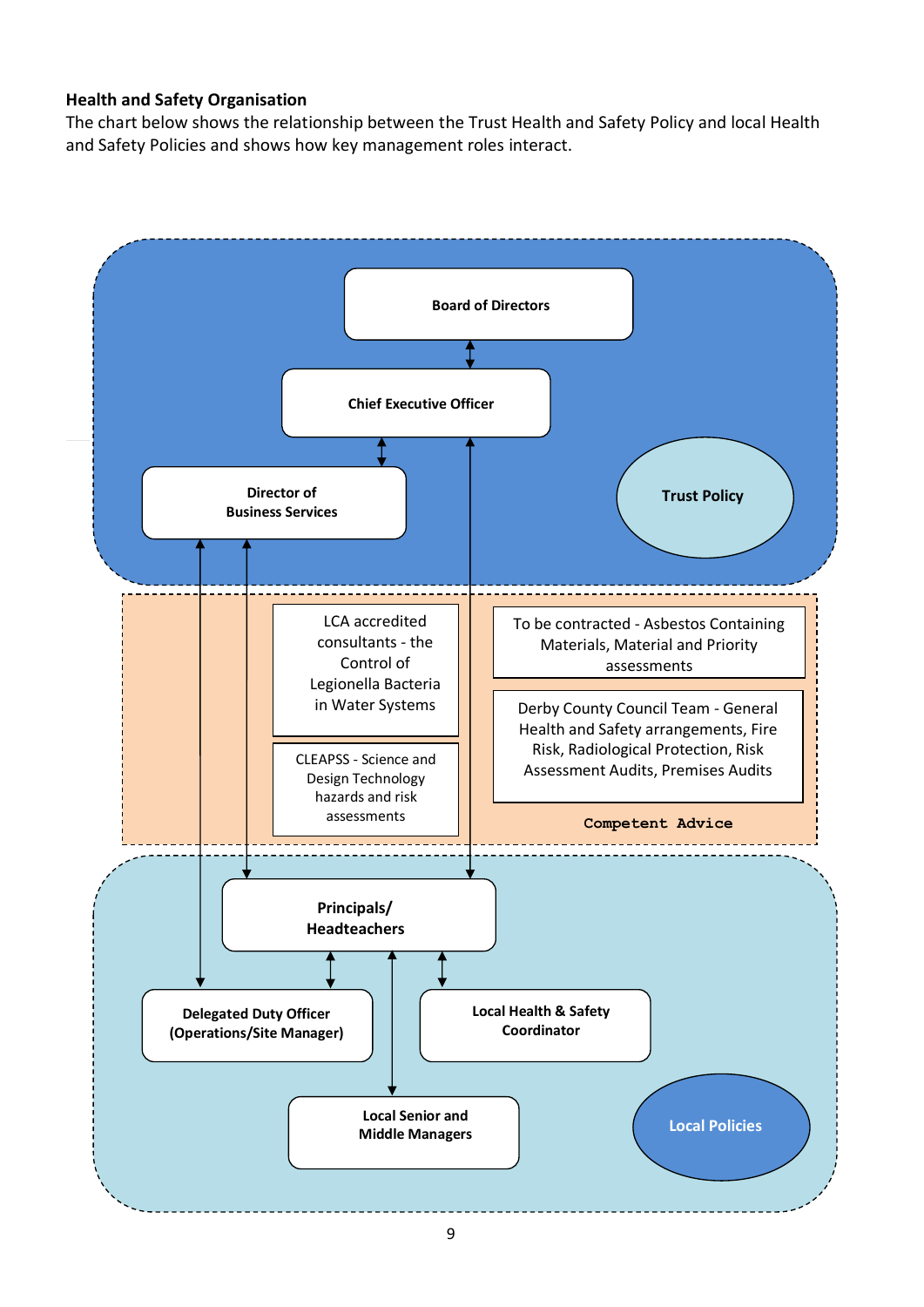#### **Health and Safety Organisation**

The chart below shows the relationship between the Trust Health and Safety Policy and local Health and Safety Policies and shows how key management roles interact.

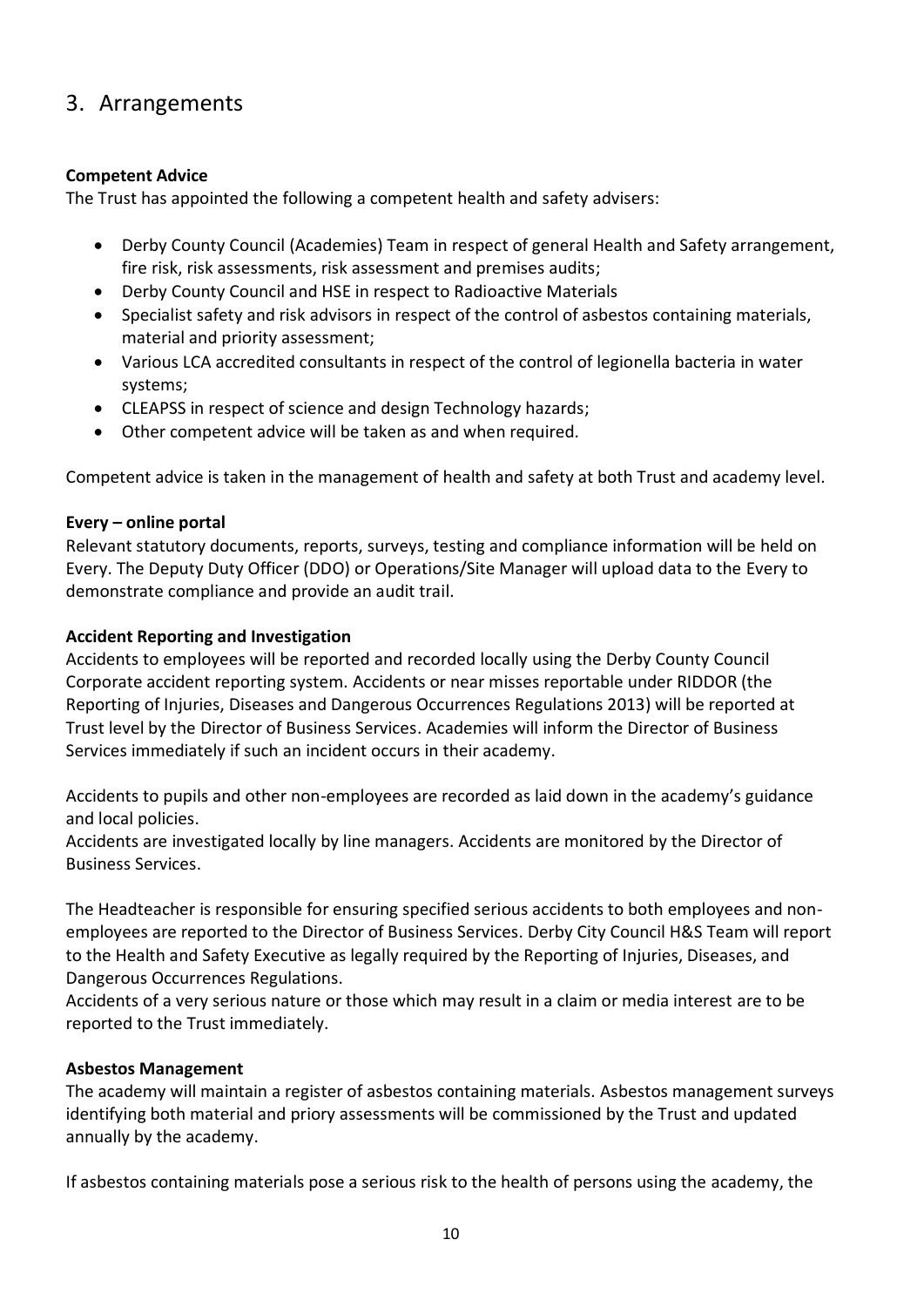# 3. Arrangements

#### **Competent Advice**

The Trust has appointed the following a competent health and safety advisers:

- Derby County Council (Academies) Team in respect of general Health and Safety arrangement, fire risk, risk assessments, risk assessment and premises audits;
- Derby County Council and HSE in respect to Radioactive Materials
- Specialist safety and risk advisors in respect of the control of asbestos containing materials, material and priority assessment;
- Various LCA accredited consultants in respect of the control of legionella bacteria in water systems;
- CLEAPSS in respect of science and design Technology hazards;
- Other competent advice will be taken as and when required.

Competent advice is taken in the management of health and safety at both Trust and academy level.

#### **Every – online portal**

Relevant statutory documents, reports, surveys, testing and compliance information will be held on Every. The Deputy Duty Officer (DDO) or Operations/Site Manager will upload data to the Every to demonstrate compliance and provide an audit trail.

#### **Accident Reporting and Investigation**

Accidents to employees will be reported and recorded locally using the Derby County Council Corporate accident reporting system. Accidents or near misses reportable under RIDDOR (the Reporting of Injuries, Diseases and Dangerous Occurrences Regulations 2013) will be reported at Trust level by the Director of Business Services. Academies will inform the Director of Business Services immediately if such an incident occurs in their academy.

Accidents to pupils and other non-employees are recorded as laid down in the academy's guidance and local policies.

Accidents are investigated locally by line managers. Accidents are monitored by the Director of Business Services.

The Headteacher is responsible for ensuring specified serious accidents to both employees and nonemployees are reported to the Director of Business Services. Derby City Council H&S Team will report to the Health and Safety Executive as legally required by the Reporting of Injuries, Diseases, and Dangerous Occurrences Regulations.

Accidents of a very serious nature or those which may result in a claim or media interest are to be reported to the Trust immediately.

#### **Asbestos Management**

The academy will maintain a register of asbestos containing materials. Asbestos management surveys identifying both material and priory assessments will be commissioned by the Trust and updated annually by the academy.

If asbestos containing materials pose a serious risk to the health of persons using the academy, the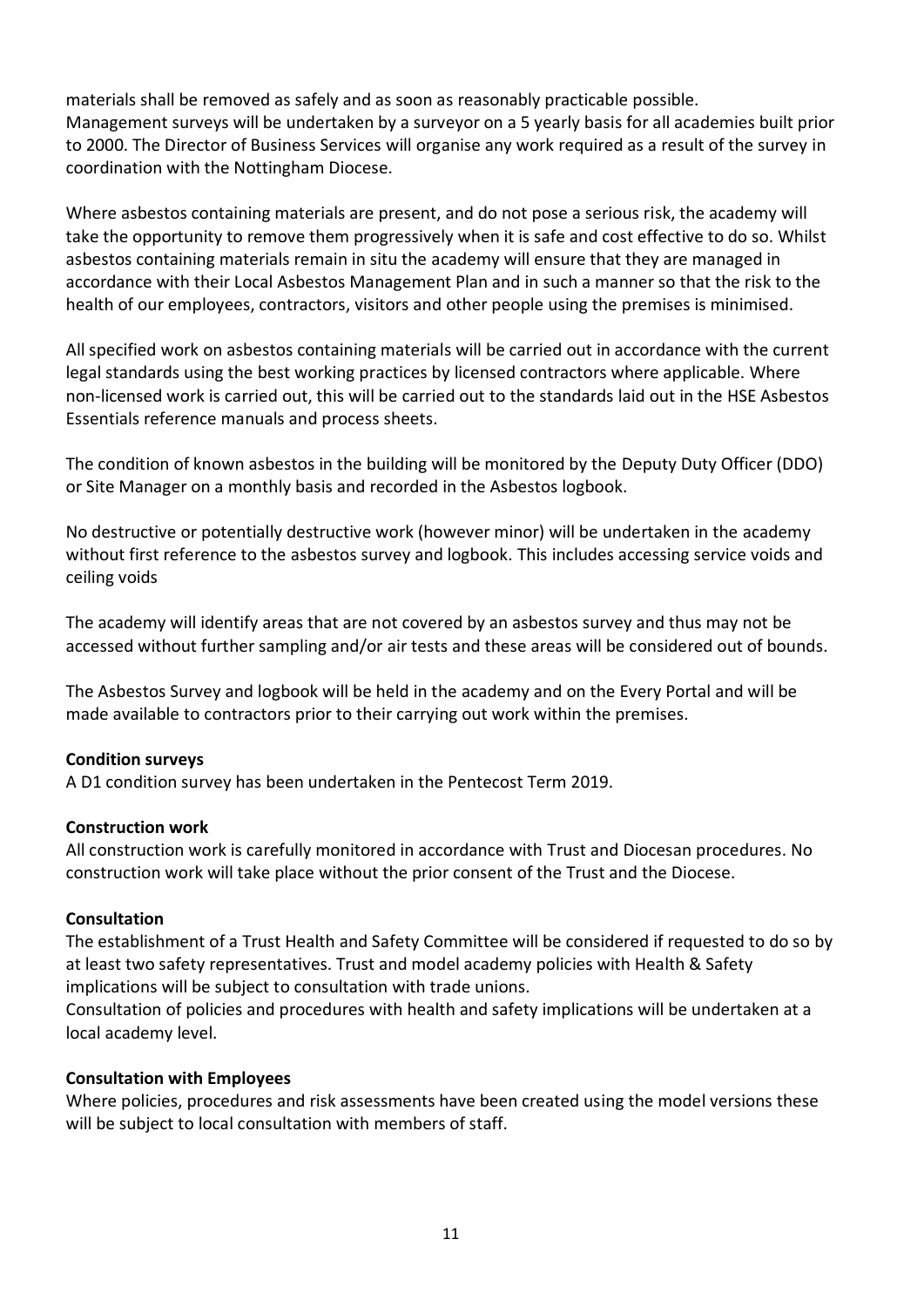materials shall be removed as safely and as soon as reasonably practicable possible. Management surveys will be undertaken by a surveyor on a 5 yearly basis for all academies built prior to 2000. The Director of Business Services will organise any work required as a result of the survey in coordination with the Nottingham Diocese.

Where asbestos containing materials are present, and do not pose a serious risk, the academy will take the opportunity to remove them progressively when it is safe and cost effective to do so. Whilst asbestos containing materials remain in situ the academy will ensure that they are managed in accordance with their Local Asbestos Management Plan and in such a manner so that the risk to the health of our employees, contractors, visitors and other people using the premises is minimised.

All specified work on asbestos containing materials will be carried out in accordance with the current legal standards using the best working practices by licensed contractors where applicable. Where non-licensed work is carried out, this will be carried out to the standards laid out in the HSE Asbestos Essentials reference manuals and process sheets.

The condition of known asbestos in the building will be monitored by the Deputy Duty Officer (DDO) or Site Manager on a monthly basis and recorded in the Asbestos logbook.

No destructive or potentially destructive work (however minor) will be undertaken in the academy without first reference to the asbestos survey and logbook. This includes accessing service voids and ceiling voids

The academy will identify areas that are not covered by an asbestos survey and thus may not be accessed without further sampling and/or air tests and these areas will be considered out of bounds.

The Asbestos Survey and logbook will be held in the academy and on the Every Portal and will be made available to contractors prior to their carrying out work within the premises.

#### **Condition surveys**

A D1 condition survey has been undertaken in the Pentecost Term 2019.

#### **Construction work**

All construction work is carefully monitored in accordance with Trust and Diocesan procedures. No construction work will take place without the prior consent of the Trust and the Diocese.

#### **Consultation**

The establishment of a Trust Health and Safety Committee will be considered if requested to do so by at least two safety representatives. Trust and model academy policies with Health & Safety implications will be subject to consultation with trade unions.

Consultation of policies and procedures with health and safety implications will be undertaken at a local academy level.

#### **Consultation with Employees**

Where policies, procedures and risk assessments have been created using the model versions these will be subject to local consultation with members of staff.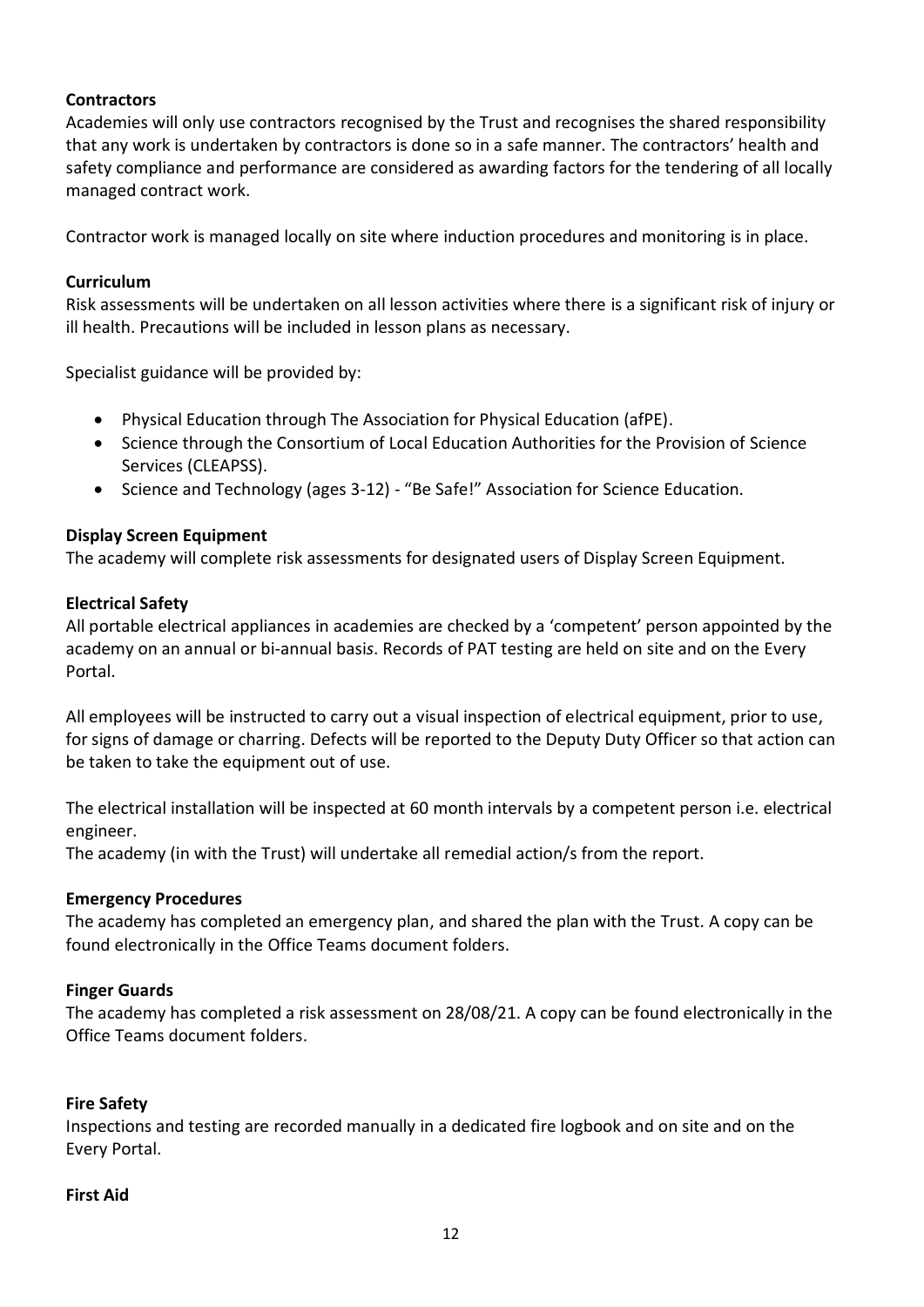#### **Contractors**

Academies will only use contractors recognised by the Trust and recognises the shared responsibility that any work is undertaken by contractors is done so in a safe manner. The contractors' health and safety compliance and performance are considered as awarding factors for the tendering of all locally managed contract work.

Contractor work is managed locally on site where induction procedures and monitoring is in place.

#### **Curriculum**

Risk assessments will be undertaken on all lesson activities where there is a significant risk of injury or ill health. Precautions will be included in lesson plans as necessary.

Specialist guidance will be provided by:

- Physical Education through The Association for Physical Education (afPE).
- Science through the Consortium of Local Education Authorities for the Provision of Science Services (CLEAPSS).
- Science and Technology (ages 3-12) "Be Safe!" Association for Science Education.

#### **Display Screen Equipment**

The academy will complete risk assessments for designated users of Display Screen Equipment.

#### **Electrical Safety**

All portable electrical appliances in academies are checked by a 'competent' person appointed by the academy on an annual or bi-annual basi*s*. Records of PAT testing are held on site and on the Every Portal.

All employees will be instructed to carry out a visual inspection of electrical equipment, prior to use, for signs of damage or charring. Defects will be reported to the Deputy Duty Officer so that action can be taken to take the equipment out of use.

The electrical installation will be inspected at 60 month intervals by a competent person i.e. electrical engineer.

The academy (in with the Trust) will undertake all remedial action/s from the report.

#### **Emergency Procedures**

The academy has completed an emergency plan, and shared the plan with the Trust. A copy can be found electronically in the Office Teams document folders.

#### **Finger Guards**

The academy has completed a risk assessment on 28/08/21. A copy can be found electronically in the Office Teams document folders.

#### **Fire Safety**

Inspections and testing are recorded manually in a dedicated fire logbook and on site and on the Every Portal.

#### **First Aid**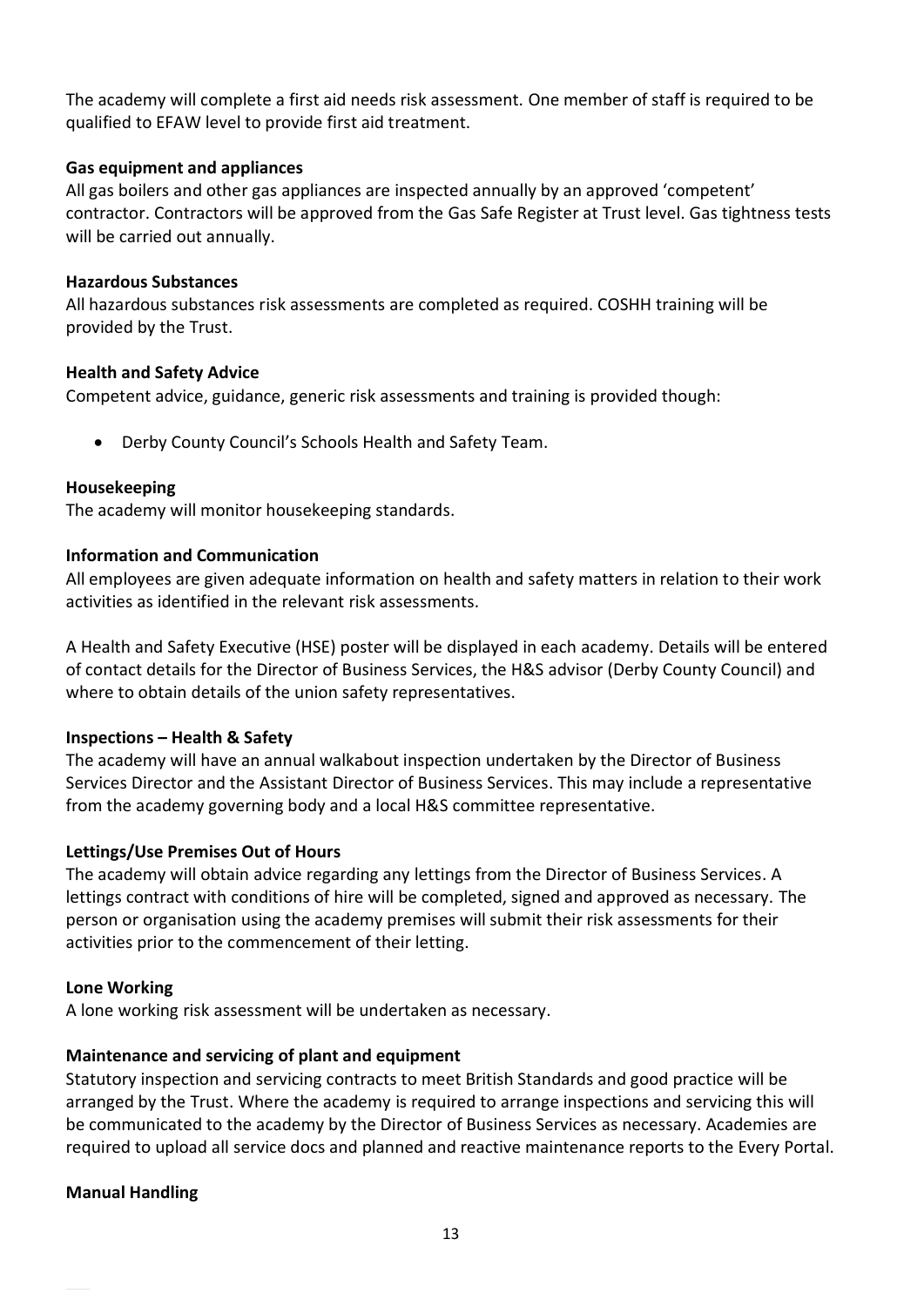The academy will complete a first aid needs risk assessment. One member of staff is required to be qualified to EFAW level to provide first aid treatment.

#### **Gas equipment and appliances**

All gas boilers and other gas appliances are inspected annually by an approved 'competent' contractor. Contractors will be approved from the Gas Safe Register at Trust level. Gas tightness tests will be carried out annually.

#### **Hazardous Substances**

All hazardous substances risk assessments are completed as required. COSHH training will be provided by the Trust.

#### **Health and Safety Advice**

Competent advice, guidance, generic risk assessments and training is provided though:

• Derby County Council's Schools Health and Safety Team.

#### **Housekeeping**

The academy will monitor housekeeping standards.

#### **Information and Communication**

All employees are given adequate information on health and safety matters in relation to their work activities as identified in the relevant risk assessments.

A Health and Safety Executive (HSE) poster will be displayed in each academy. Details will be entered of contact details for the Director of Business Services, the H&S advisor (Derby County Council) and where to obtain details of the union safety representatives.

#### **Inspections – Health & Safety**

The academy will have an annual walkabout inspection undertaken by the Director of Business Services Director and the Assistant Director of Business Services. This may include a representative from the academy governing body and a local H&S committee representative.

#### **Lettings/Use Premises Out of Hours**

The academy will obtain advice regarding any lettings from the Director of Business Services. A lettings contract with conditions of hire will be completed, signed and approved as necessary. The person or organisation using the academy premises will submit their risk assessments for their activities prior to the commencement of their letting.

#### **Lone Working**

A lone working risk assessment will be undertaken as necessary.

#### **Maintenance and servicing of plant and equipment**

Statutory inspection and servicing contracts to meet British Standards and good practice will be arranged by the Trust. Where the academy is required to arrange inspections and servicing this will be communicated to the academy by the Director of Business Services as necessary. Academies are required to upload all service docs and planned and reactive maintenance reports to the Every Portal.

#### **Manual Handling**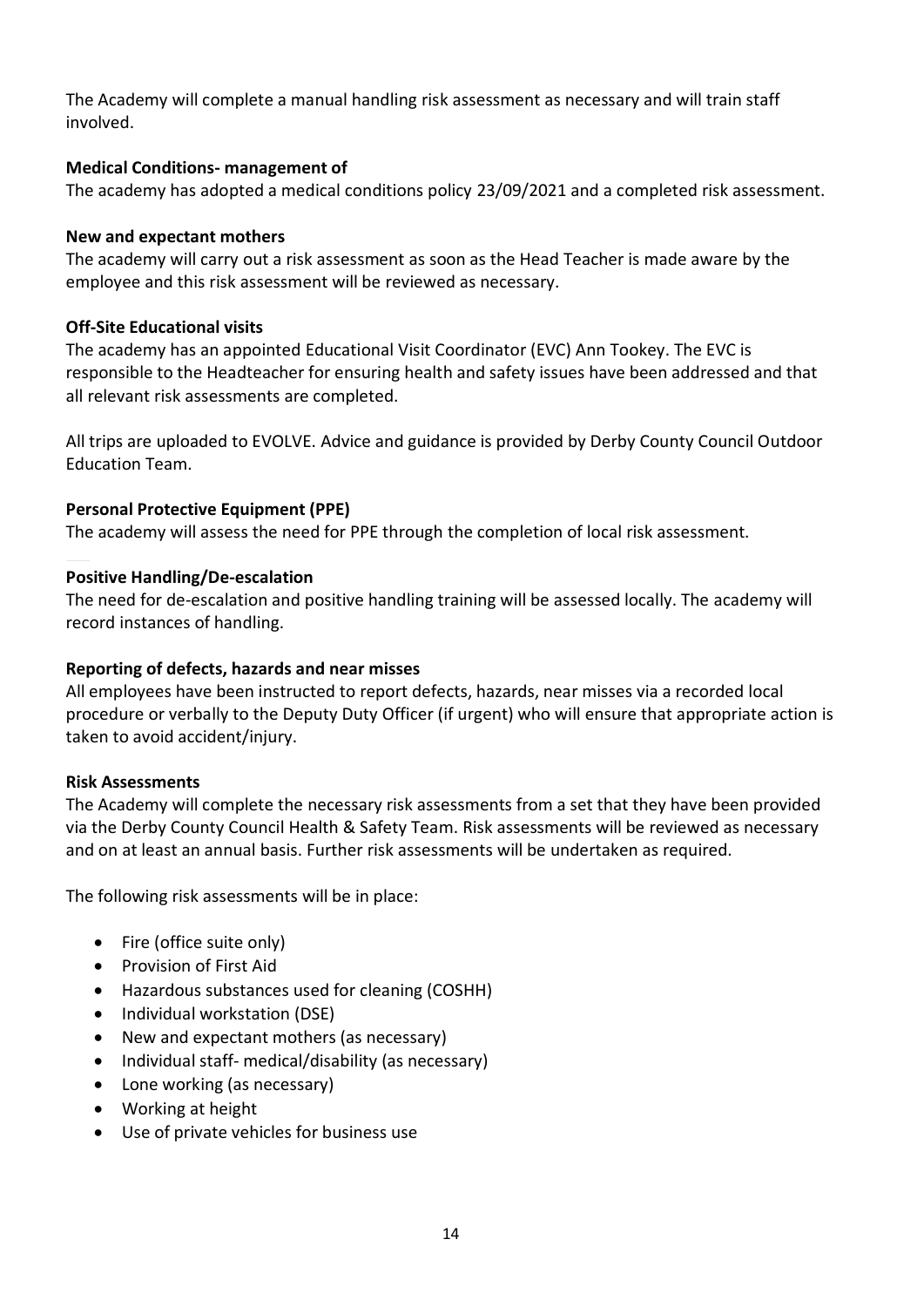The Academy will complete a manual handling risk assessment as necessary and will train staff involved.

#### **Medical Conditions- management of**

The academy has adopted a medical conditions policy 23/09/2021 and a completed risk assessment.

#### **New and expectant mothers**

The academy will carry out a risk assessment as soon as the Head Teacher is made aware by the employee and this risk assessment will be reviewed as necessary.

#### **Off-Site Educational visits**

The academy has an appointed Educational Visit Coordinator (EVC) Ann Tookey. The EVC is responsible to the Headteacher for ensuring health and safety issues have been addressed and that all relevant risk assessments are completed.

All trips are uploaded to EVOLVE. Advice and guidance is provided by Derby County Council Outdoor Education Team.

#### **Personal Protective Equipment (PPE)**

The academy will assess the need for PPE through the completion of local risk assessment.

#### **Positive Handling/De-escalation**

The need for de-escalation and positive handling training will be assessed locally. The academy will record instances of handling.

#### **Reporting of defects, hazards and near misses**

All employees have been instructed to report defects, hazards, near misses via a recorded local procedure or verbally to the Deputy Duty Officer (if urgent) who will ensure that appropriate action is taken to avoid accident/injury.

#### **Risk Assessments**

The Academy will complete the necessary risk assessments from a set that they have been provided via the Derby County Council Health & Safety Team. Risk assessments will be reviewed as necessary and on at least an annual basis. Further risk assessments will be undertaken as required.

The following risk assessments will be in place:

- Fire (office suite only)
- Provision of First Aid
- Hazardous substances used for cleaning (COSHH)
- Individual workstation (DSE)
- New and expectant mothers (as necessary)
- Individual staff- medical/disability (as necessary)
- Lone working (as necessary)
- Working at height
- Use of private vehicles for business use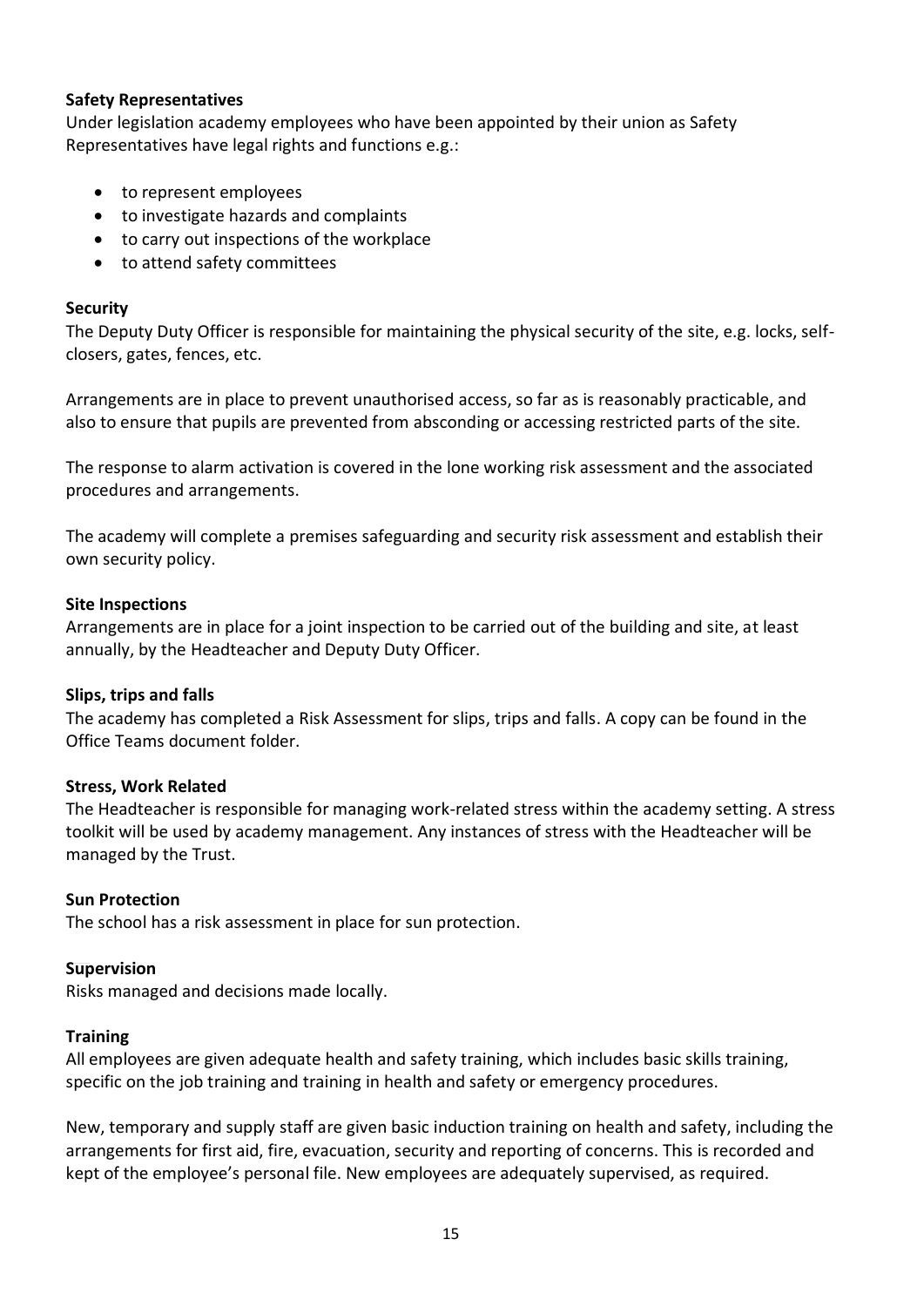#### **Safety Representatives**

Under legislation academy employees who have been appointed by their union as Safety Representatives have legal rights and functions e.g.:

- to represent employees
- to investigate hazards and complaints
- to carry out inspections of the workplace
- to attend safety committees

#### **Security**

The Deputy Duty Officer is responsible for maintaining the physical security of the site, e.g. locks, selfclosers, gates, fences, etc.

Arrangements are in place to prevent unauthorised access, so far as is reasonably practicable, and also to ensure that pupils are prevented from absconding or accessing restricted parts of the site.

The response to alarm activation is covered in the lone working risk assessment and the associated procedures and arrangements.

The academy will complete a premises safeguarding and security risk assessment and establish their own security policy.

#### **Site Inspections**

Arrangements are in place for a joint inspection to be carried out of the building and site, at least annually, by the Headteacher and Deputy Duty Officer.

#### **Slips, trips and falls**

The academy has completed a Risk Assessment for slips, trips and falls. A copy can be found in the Office Teams document folder.

#### **Stress, Work Related**

The Headteacher is responsible for managing work-related stress within the academy setting. A stress toolkit will be used by academy management. Any instances of stress with the Headteacher will be managed by the Trust.

#### **Sun Protection**

The school has a risk assessment in place for sun protection.

#### **Supervision**

Risks managed and decisions made locally.

#### **Training**

All employees are given adequate health and safety training, which includes basic skills training, specific on the job training and training in health and safety or emergency procedures.

New, temporary and supply staff are given basic induction training on health and safety, including the arrangements for first aid, fire, evacuation, security and reporting of concerns. This is recorded and kept of the employee's personal file. New employees are adequately supervised, as required.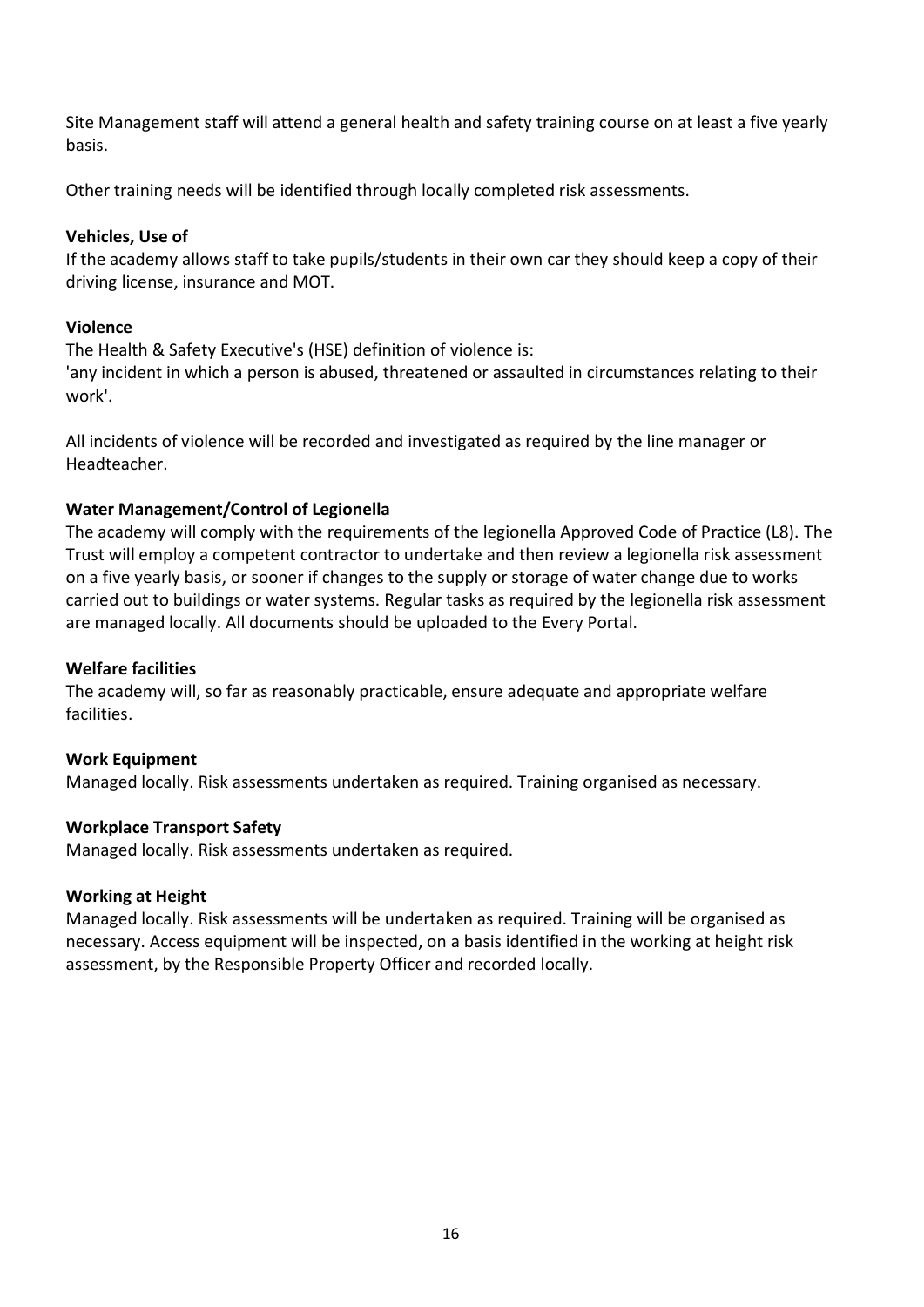Site Management staff will attend a general health and safety training course on at least a five yearly basis.

Other training needs will be identified through locally completed risk assessments.

#### **Vehicles, Use of**

If the academy allows staff to take pupils/students in their own car they should keep a copy of their driving license, insurance and MOT.

### **Violence**

The Health & Safety Executive's (HSE) definition of violence is:

'any incident in which a person is abused, threatened or assaulted in circumstances relating to their work'.

All incidents of violence will be recorded and investigated as required by the line manager or Headteacher.

# **Water Management/Control of Legionella**

The academy will comply with the requirements of the legionella Approved Code of Practice (L8). The Trust will employ a competent contractor to undertake and then review a legionella risk assessment on a five yearly basis, or sooner if changes to the supply or storage of water change due to works carried out to buildings or water systems. Regular tasks as required by the legionella risk assessment are managed locally. All documents should be uploaded to the Every Portal.

#### **Welfare facilities**

The academy will, so far as reasonably practicable, ensure adequate and appropriate welfare facilities.

# **Work Equipment**

Managed locally. Risk assessments undertaken as required. Training organised as necessary.

#### **Workplace Transport Safety**

Managed locally. Risk assessments undertaken as required.

#### **Working at Height**

Managed locally. Risk assessments will be undertaken as required. Training will be organised as necessary. Access equipment will be inspected, on a basis identified in the working at height risk assessment, by the Responsible Property Officer and recorded locally.